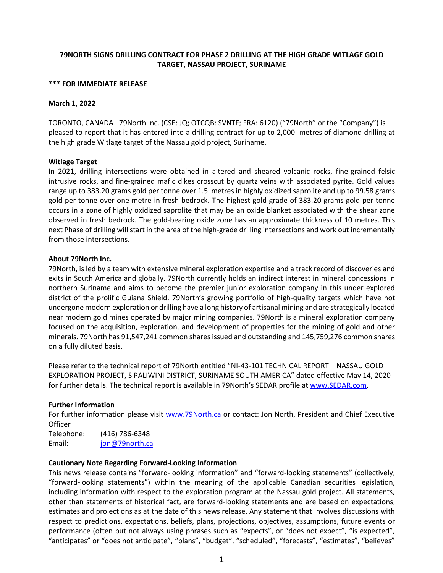# **79NORTH SIGNS DRILLING CONTRACT FOR PHASE 2 DRILLING AT THE HIGH GRADE WITLAGE GOLD TARGET, NASSAU PROJECT, SURINAME**

#### **\*\*\* FOR IMMEDIATE RELEASE**

### **March 1, 2022**

TORONTO, CANADA –79North Inc. (CSE: JQ; OTCQB: SVNTF; FRA: 6120) ("79North" or the "Company") is pleased to report that it has entered into a drilling contract for up to 2,000 metres of diamond drilling at the high grade Witlage target of the Nassau gold project, Suriname.

## **Witlage Target**

In 2021, drilling intersections were obtained in altered and sheared volcanic rocks, fine-grained felsic intrusive rocks, and fine-grained mafic dikes crosscut by quartz veins with associated pyrite. Gold values range up to 383.20 grams gold per tonne over 1.5 metres in highly oxidized saprolite and up to 99.58 grams gold per tonne over one metre in fresh bedrock. The highest gold grade of 383.20 grams gold per tonne occurs in a zone of highly oxidized saprolite that may be an oxide blanket associated with the shear zone observed in fresh bedrock. The gold-bearing oxide zone has an approximate thickness of 10 metres. This next Phase of drilling will start in the area of the high-grade drilling intersections and work out incrementally from those intersections.

## **About 79North Inc.**

79North, is led by a team with extensive mineral exploration expertise and a track record of discoveries and exits in South America and globally. 79North currently holds an indirect interest in mineral concessions in northern Suriname and aims to become the premier junior exploration company in this under explored district of the prolific Guiana Shield. 79North's growing portfolio of high-quality targets which have not undergone modern exploration or drilling have a long history of artisanal mining and are strategically located near modern gold mines operated by major mining companies. 79North is a mineral exploration company focused on the acquisition, exploration, and development of properties for the mining of gold and other minerals. 79North has 91,547,241 common shares issued and outstanding and 145,759,276 common shares on a fully diluted basis.

Please refer to the technical report of 79North entitled "NI-43-101 TECHNICAL REPORT – NASSAU GOLD EXPLORATION PROJECT, SIPALIWINI DISTRICT, SURINAME SOUTH AMERICA" dated effective May 14, 2020 for further details. The technical report is available in 79North's SEDAR profile at [www.SEDAR.com.](http://www.sedar.com/)

## **Further Information**

For further information please visit [www.79North.ca o](http://www.79north.ca/)r contact: Jon North, President and Chief Executive **Officer** 

Telephone: (416) 786-6348 Email: [jon@79north.ca](mailto:jon@79north.ca)

### **Cautionary Note Regarding Forward-Looking Information**

This news release contains "forward-looking information" and "forward-looking statements" (collectively, "forward-looking statements") within the meaning of the applicable Canadian securities legislation, including information with respect to the exploration program at the Nassau gold project. All statements, other than statements of historical fact, are forward-looking statements and are based on expectations, estimates and projections as at the date of this news release. Any statement that involves discussions with respect to predictions, expectations, beliefs, plans, projections, objectives, assumptions, future events or performance (often but not always using phrases such as "expects", or "does not expect", "is expected", "anticipates" or "does not anticipate", "plans", "budget", "scheduled", "forecasts", "estimates", "believes"